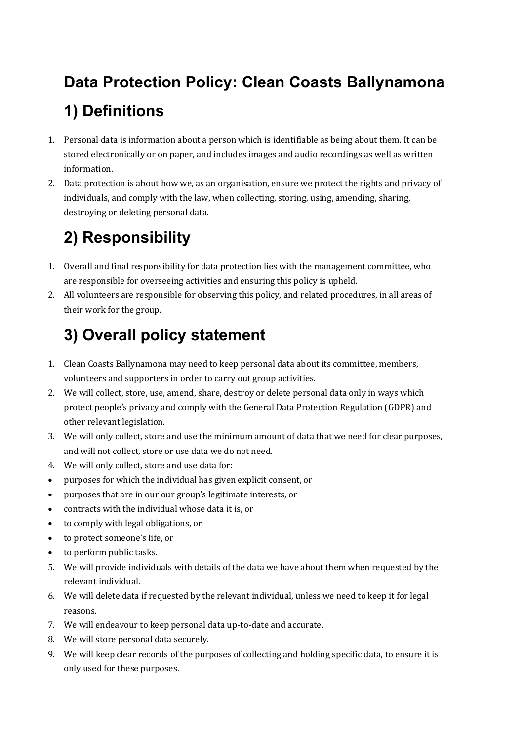# **Data Protection Policy: Clean Coasts Ballynamona 1) Definitions**

- 1. Personal data is information about a person which is identifiable as being about them. It can be stored electronically or on paper, and includes images and audio recordings as well as written information.
- 2. Data protection is about how we, as an organisation, ensure we protect the rights and privacy of individuals, and comply with the law, when collecting, storing, using, amending, sharing, destroying or deleting personal data.

#### **2) Responsibility**

- 1. Overall and final responsibility for data protection lies with the management committee, who are responsible for overseeing activities and ensuring this policy is upheld.
- 2. All volunteers are responsible for observing this policy, and related procedures, in all areas of their work for the group.

## **3) Overall policy statement**

- 1. Clean Coasts Ballynamona may need to keep personal data about its committee, members, volunteers and supporters in order to carry out group activities.
- 2. We will collect, store, use, amend, share, destroy or delete personal data only in ways which protect people's privacy and comply with the General Data Protection Regulation (GDPR) and other relevant legislation.
- 3. We will only collect, store and use the minimum amount of data that we need for clear purposes, and will not collect, store or use data we do not need.
- 4. We will only collect, store and use data for:
- purposes for which the individual has given explicit consent, or
- purposes that are in our our group's legitimate interests, or
- contracts with the individual whose data it is, or
- to comply with legal obligations, or
- to protect someone's life, or
- to perform public tasks.
- 5. We will provide individuals with details of the data we have about them when requested by the relevant individual.
- 6. We will delete data if requested by the relevant individual, unless we need to keep it for legal reasons.
- 7. We will endeavour to keep personal data up-to-date and accurate.
- 8. We will store personal data securely.
- 9. We will keep clear records of the purposes of collecting and holding specific data, to ensure it is only used for these purposes.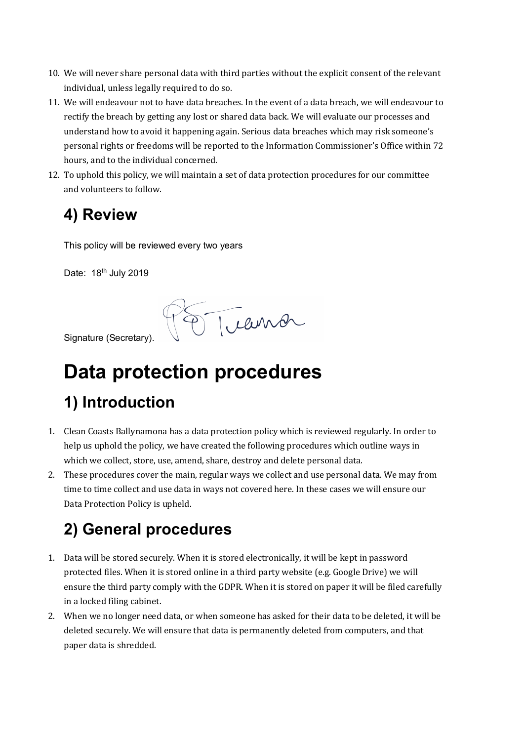- 10. We will never share personal data with third parties without the explicit consent of the relevant individual, unless legally required to do so.
- 11. We will endeavour not to have data breaches. In the event of a data breach, we will endeavour to rectify the breach by getting any lost or shared data back. We will evaluate our processes and understand how to avoid it happening again. Serious data breaches which may risk someone's personal rights or freedoms will be reported to the Information Commissioner's Office within 72 hours, and to the individual concerned.
- 12. To uphold this policy, we will maintain a set of data protection procedures for our committee and volunteers to follow.

#### **4) Review**

This policy will be reviewed every two years

Date: 18<sup>th</sup> July 2019

Treuver

Signature (Secretary).

# **Data protection procedures**

#### **1) Introduction**

- 1. Clean Coasts Ballynamona has a data protection policy which is reviewed regularly. In order to help us uphold the policy, we have created the following procedures which outline ways in which we collect, store, use, amend, share, destroy and delete personal data.
- 2. These procedures cover the main, regular ways we collect and use personal data. We may from time to time collect and use data in ways not covered here. In these cases we will ensure our Data Protection Policy is upheld.

## **2) General procedures**

- 1. Data will be stored securely. When it is stored electronically, it will be kept in password protected files. When it is stored online in a third party website (e.g. Google Drive) we will ensure the third party comply with the GDPR. When it is stored on paper it will be filed carefully in a locked filing cabinet.
- 2. When we no longer need data, or when someone has asked for their data to be deleted, it will be deleted securely. We will ensure that data is permanently deleted from computers, and that paper data is shredded.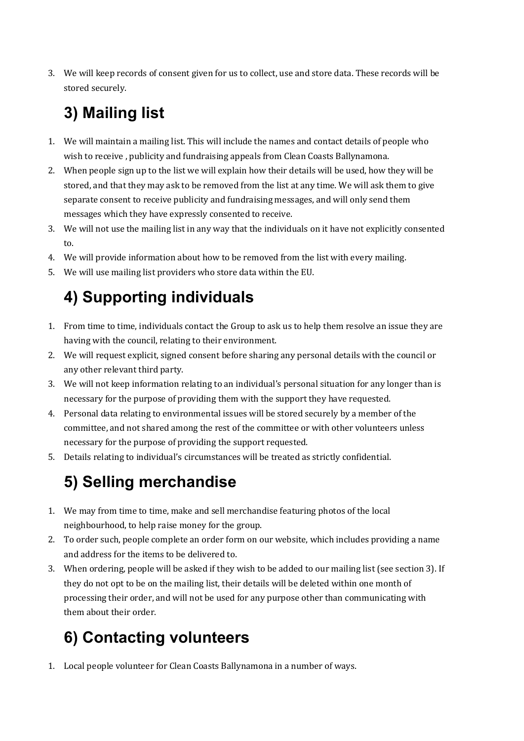3. We will keep records of consent given for us to collect, use and store data. These records will be stored securely.

## **3) Mailing list**

- 1. We will maintain a mailing list. This will include the names and contact details of people who wish to receive, publicity and fundraising appeals from Clean Coasts Ballynamona.
- 2. When people sign up to the list we will explain how their details will be used, how they will be stored, and that they may ask to be removed from the list at any time. We will ask them to give separate consent to receive publicity and fundraising messages, and will only send them messages which they have expressly consented to receive.
- 3. We will not use the mailing list in any way that the individuals on it have not explicitly consented to.
- 4. We will provide information about how to be removed from the list with every mailing.
- 5. We will use mailing list providers who store data within the EU.

## **4) Supporting individuals**

- 1. From time to time, individuals contact the Group to ask us to help them resolve an issue they are having with the council, relating to their environment.
- 2. We will request explicit, signed consent before sharing any personal details with the council or any other relevant third party.
- 3. We will not keep information relating to an individual's personal situation for any longer than is necessary for the purpose of providing them with the support they have requested.
- 4. Personal data relating to environmental issues will be stored securely by a member of the committee, and not shared among the rest of the committee or with other volunteers unless necessary for the purpose of providing the support requested.
- 5. Details relating to individual's circumstances will be treated as strictly confidential.

#### **5) Selling merchandise**

- 1. We may from time to time, make and sell merchandise featuring photos of the local neighbourhood, to help raise money for the group.
- 2. To order such, people complete an order form on our website, which includes providing a name and address for the items to be delivered to.
- 3. When ordering, people will be asked if they wish to be added to our mailing list (see section 3). If they do not opt to be on the mailing list, their details will be deleted within one month of processing their order, and will not be used for any purpose other than communicating with them about their order.

## **6) Contacting volunteers**

1. Local people volunteer for Clean Coasts Ballynamona in a number of ways.